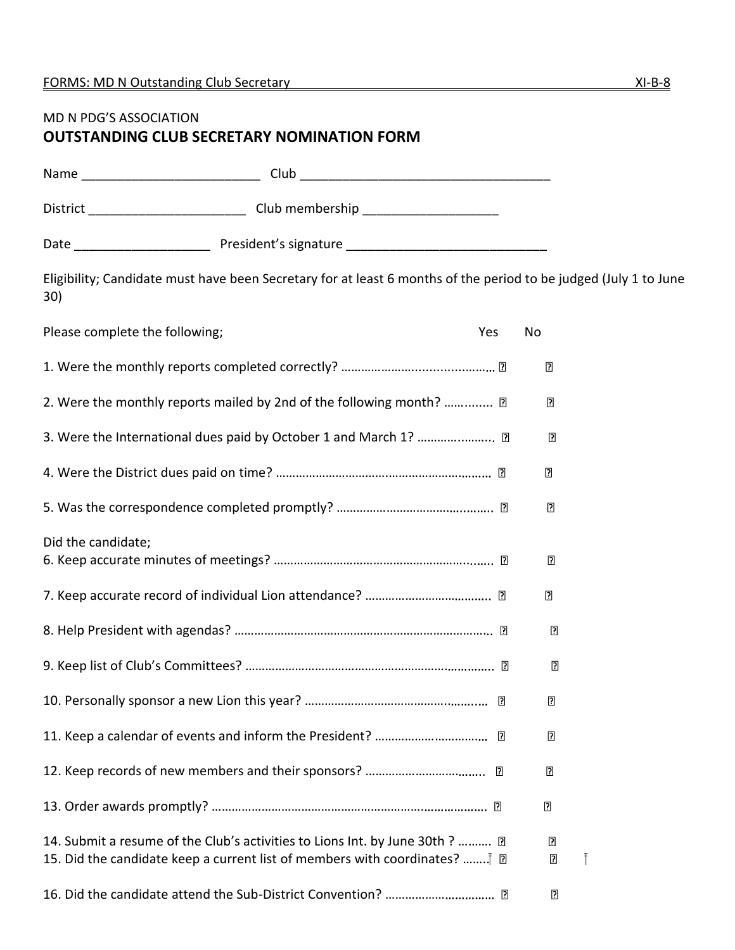## MD N PDG'S ASSOCIATION **OUTSTANDING CLUB SECRETARY NOMINATION FORM**

|                                | District ________________________________Club membership _______________________                                 |     |                     |   |
|--------------------------------|------------------------------------------------------------------------------------------------------------------|-----|---------------------|---|
|                                |                                                                                                                  |     |                     |   |
| 30)                            | Eligibility; Candidate must have been Secretary for at least 6 months of the period to be judged (July 1 to June |     |                     |   |
| Please complete the following; |                                                                                                                  | Yes | No                  |   |
|                                |                                                                                                                  |     | ?                   |   |
|                                | 2. Were the monthly reports mailed by 2nd of the following month?  ?                                             |     | $\overline{2}$      |   |
|                                | 3. Were the International dues paid by October 1 and March 1?  2                                                 |     | ?                   |   |
|                                |                                                                                                                  |     | $\overline{2}$      |   |
|                                |                                                                                                                  |     | 2                   |   |
| Did the candidate;             |                                                                                                                  |     | $\overline{?}$      |   |
|                                |                                                                                                                  |     | $\overline{P}$      |   |
|                                |                                                                                                                  |     | $\overline{2}$      |   |
|                                |                                                                                                                  |     | $\overline{2}$      |   |
|                                |                                                                                                                  |     | $\mathbf{E}$        |   |
|                                |                                                                                                                  |     | $\overline{2}$      |   |
|                                |                                                                                                                  |     | $\overline{2}$      |   |
|                                |                                                                                                                  |     | $\overline{2}$      |   |
|                                | 14. Submit a resume of the Club's activities to Lions Int. by June 30th ?  2                                     |     | $\overline{2}$<br>₽ | Ŧ |
|                                |                                                                                                                  |     | $\overline{P}$      |   |